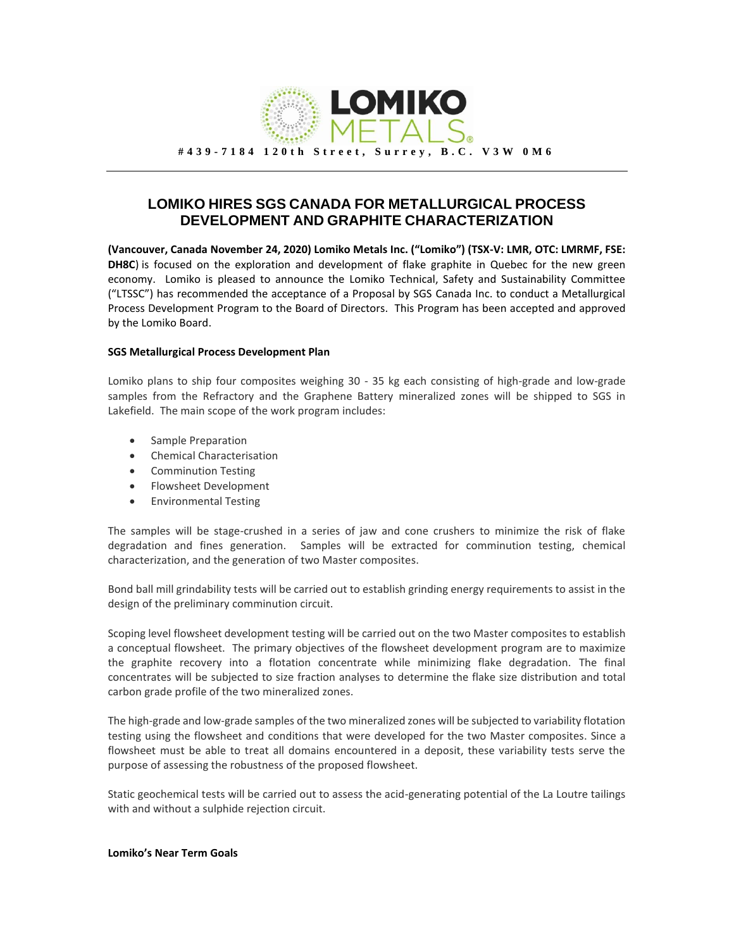

## **LOMIKO HIRES SGS CANADA FOR METALLURGICAL PROCESS DEVELOPMENT AND GRAPHITE CHARACTERIZATION**

**(Vancouver, Canada November 24, 2020) Lomiko Metals Inc. ("Lomiko") (TSX-V: LMR, OTC: LMRMF, FSE: DH8C**) is focused on the exploration and development of flake graphite in Quebec for the new green economy. Lomiko is pleased to announce the Lomiko Technical, Safety and Sustainability Committee ("LTSSC") has recommended the acceptance of a Proposal by SGS Canada Inc. to conduct a Metallurgical Process Development Program to the Board of Directors. This Program has been accepted and approved by the Lomiko Board.

## **SGS Metallurgical Process Development Plan**

Lomiko plans to ship four composites weighing 30 - 35 kg each consisting of high-grade and low-grade samples from the Refractory and the Graphene Battery mineralized zones will be shipped to SGS in Lakefield. The main scope of the work program includes:

- Sample Preparation
- Chemical Characterisation
- Comminution Testing
- Flowsheet Development
- Environmental Testing

The samples will be stage-crushed in a series of jaw and cone crushers to minimize the risk of flake degradation and fines generation. Samples will be extracted for comminution testing, chemical characterization, and the generation of two Master composites.

Bond ball mill grindability tests will be carried out to establish grinding energy requirements to assist in the design of the preliminary comminution circuit.

Scoping level flowsheet development testing will be carried out on the two Master composites to establish a conceptual flowsheet. The primary objectives of the flowsheet development program are to maximize the graphite recovery into a flotation concentrate while minimizing flake degradation. The final concentrates will be subjected to size fraction analyses to determine the flake size distribution and total carbon grade profile of the two mineralized zones.

The high-grade and low-grade samples of the two mineralized zones will be subjected to variability flotation testing using the flowsheet and conditions that were developed for the two Master composites. Since a flowsheet must be able to treat all domains encountered in a deposit, these variability tests serve the purpose of assessing the robustness of the proposed flowsheet.

Static geochemical tests will be carried out to assess the acid-generating potential of the La Loutre tailings with and without a sulphide rejection circuit.

## **Lomiko's Near Term Goals**